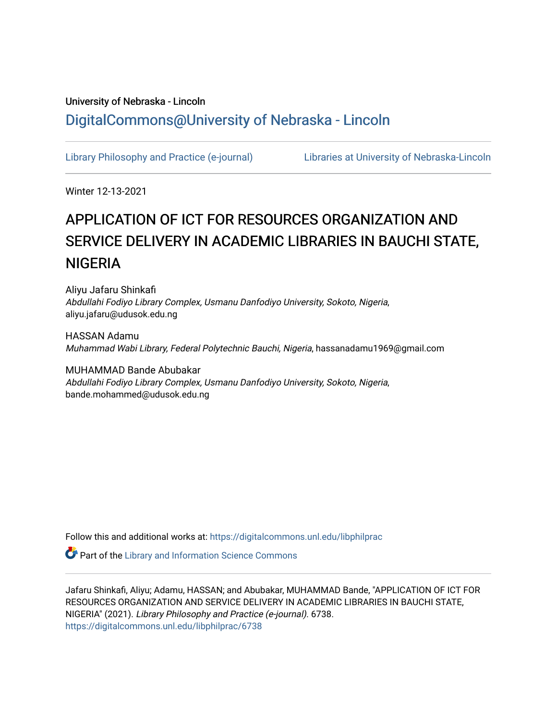## University of Nebraska - Lincoln [DigitalCommons@University of Nebraska - Lincoln](https://digitalcommons.unl.edu/)

[Library Philosophy and Practice \(e-journal\)](https://digitalcommons.unl.edu/libphilprac) [Libraries at University of Nebraska-Lincoln](https://digitalcommons.unl.edu/libraries) 

Winter 12-13-2021

# APPLICATION OF ICT FOR RESOURCES ORGANIZATION AND SERVICE DELIVERY IN ACADEMIC LIBRARIES IN BAUCHI STATE, **NIGERIA**

Aliyu Jafaru Shinkafi Abdullahi Fodiyo Library Complex, Usmanu Danfodiyo University, Sokoto, Nigeria, aliyu.jafaru@udusok.edu.ng

HASSAN Adamu Muhammad Wabi Library, Federal Polytechnic Bauchi, Nigeria, hassanadamu1969@gmail.com

MUHAMMAD Bande Abubakar Abdullahi Fodiyo Library Complex, Usmanu Danfodiyo University, Sokoto, Nigeria, bande.mohammed@udusok.edu.ng

Follow this and additional works at: [https://digitalcommons.unl.edu/libphilprac](https://digitalcommons.unl.edu/libphilprac?utm_source=digitalcommons.unl.edu%2Flibphilprac%2F6738&utm_medium=PDF&utm_campaign=PDFCoverPages) 

Part of the [Library and Information Science Commons](http://network.bepress.com/hgg/discipline/1018?utm_source=digitalcommons.unl.edu%2Flibphilprac%2F6738&utm_medium=PDF&utm_campaign=PDFCoverPages) 

Jafaru Shinkafi, Aliyu; Adamu, HASSAN; and Abubakar, MUHAMMAD Bande, "APPLICATION OF ICT FOR RESOURCES ORGANIZATION AND SERVICE DELIVERY IN ACADEMIC LIBRARIES IN BAUCHI STATE, NIGERIA" (2021). Library Philosophy and Practice (e-journal). 6738. [https://digitalcommons.unl.edu/libphilprac/6738](https://digitalcommons.unl.edu/libphilprac/6738?utm_source=digitalcommons.unl.edu%2Flibphilprac%2F6738&utm_medium=PDF&utm_campaign=PDFCoverPages)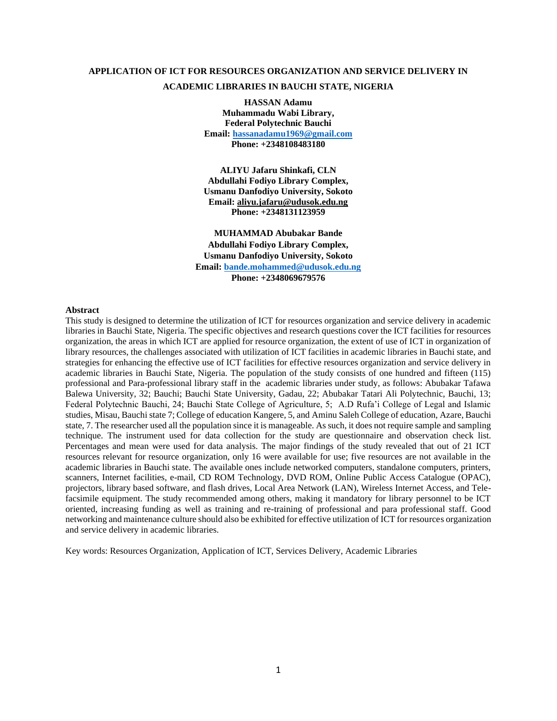### **APPLICATION OF ICT FOR RESOURCES ORGANIZATION AND SERVICE DELIVERY IN ACADEMIC LIBRARIES IN BAUCHI STATE, NIGERIA**

**HASSAN Adamu Muhammadu Wabi Library, Federal Polytechnic Bauchi Email: hassanadamu1969@gmail.com Phone: +2348108483180**

**ALIYU Jafaru Shinkafi, CLN Abdullahi Fodiyo Library Complex, Usmanu Danfodiyo University, Sokoto Email: aliyu.jafaru@udusok.edu.ng Phone: +2348131123959**

**MUHAMMAD Abubakar Bande Abdullahi Fodiyo Library Complex, Usmanu Danfodiyo University, Sokoto Email: [bande.mohammed@udusok.edu.ng](mailto:bande.mohammed@udusok.edu.ng) Phone: +2348069679576**

#### **Abstract**

This study is designed to determine the utilization of ICT for resources organization and service delivery in academic libraries in Bauchi State, Nigeria. The specific objectives and research questions cover the ICT facilities for resources organization, the areas in which ICT are applied for resource organization, the extent of use of ICT in organization of library resources, the challenges associated with utilization of ICT facilities in academic libraries in Bauchi state, and strategies for enhancing the effective use of ICT facilities for effective resources organization and service delivery in academic libraries in Bauchi State, Nigeria. The population of the study consists of one hundred and fifteen (115) professional and Para-professional library staff in the academic libraries under study, as follows: Abubakar Tafawa Balewa University, 32; Bauchi; Bauchi State University, Gadau, 22; Abubakar Tatari Ali Polytechnic, Bauchi, 13; Federal Polytechnic Bauchi, 24; Bauchi State College of Agriculture, 5; A.D Rufa'i College of Legal and Islamic studies, Misau, Bauchi state 7; College of education Kangere, 5, and Aminu Saleh College of education, Azare, Bauchi state, 7. The researcher used all the population since it is manageable. As such, it does not require sample and sampling technique. The instrument used for data collection for the study are questionnaire and observation check list. Percentages and mean were used for data analysis. The major findings of the study revealed that out of 21 ICT resources relevant for resource organization, only 16 were available for use; five resources are not available in the academic libraries in Bauchi state. The available ones include networked computers, standalone computers, printers, scanners, Internet facilities, e-mail, CD ROM Technology, DVD ROM, Online Public Access Catalogue (OPAC), projectors, library based software, and flash drives, Local Area Network (LAN), Wireless Internet Access, and Telefacsimile equipment. The study recommended among others, making it mandatory for library personnel to be ICT oriented, increasing funding as well as training and re-training of professional and para professional staff. Good networking and maintenance culture should also be exhibited for effective utilization of ICT for resources organization and service delivery in academic libraries.

Key words: Resources Organization, Application of ICT, Services Delivery, Academic Libraries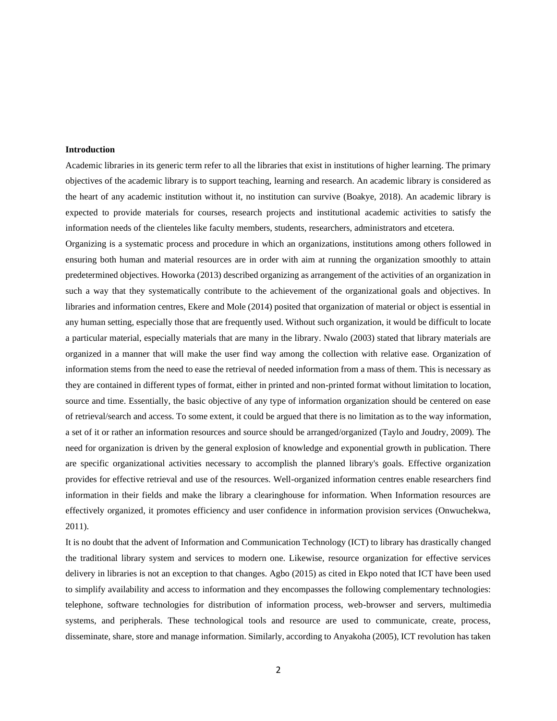#### **Introduction**

Academic libraries in its generic term refer to all the libraries that exist in institutions of higher learning. The primary objectives of the academic library is to support teaching, learning and research. An academic library is considered as the heart of any academic institution without it, no institution can survive (Boakye, 2018). An academic library is expected to provide materials for courses, research projects and institutional academic activities to satisfy the information needs of the clienteles like faculty members, students, researchers, administrators and etcetera.

Organizing is a systematic process and procedure in which an organizations, institutions among others followed in ensuring both human and material resources are in order with aim at running the organization smoothly to attain predetermined objectives. Howorka (2013) described organizing as arrangement of the activities of an organization in such a way that they systematically contribute to the achievement of the organizational goals and objectives. In libraries and information centres, Ekere and Mole (2014) posited that organization of material or object is essential in any human setting, especially those that are frequently used. Without such organization, it would be difficult to locate a particular material, especially materials that are many in the library. Nwalo (2003) stated that library materials are organized in a manner that will make the user find way among the collection with relative ease. Organization of information stems from the need to ease the retrieval of needed information from a mass of them. This is necessary as they are contained in different types of format, either in printed and non-printed format without limitation to location, source and time. Essentially, the basic objective of any type of information organization should be centered on ease of retrieval/search and access. To some extent, it could be argued that there is no limitation as to the way information, a set of it or rather an information resources and source should be arranged/organized (Taylo and Joudry, 2009). The need for organization is driven by the general explosion of knowledge and exponential growth in publication. There are specific organizational activities necessary to accomplish the planned library's goals. Effective organization provides for effective retrieval and use of the resources. Well-organized information centres enable researchers find information in their fields and make the library a clearinghouse for information. When Information resources are effectively organized, it promotes efficiency and user confidence in information provision services (Onwuchekwa, 2011).

It is no doubt that the advent of Information and Communication Technology (ICT) to library has drastically changed the traditional library system and services to modern one. Likewise, resource organization for effective services delivery in libraries is not an exception to that changes. Agbo (2015) as cited in Ekpo noted that ICT have been used to simplify availability and access to information and they encompasses the following complementary technologies: telephone, software technologies for distribution of information process, web-browser and servers, multimedia systems, and peripherals. These technological tools and resource are used to communicate, create, process, disseminate, share, store and manage information. Similarly, according to Anyakoha (2005), ICT revolution has taken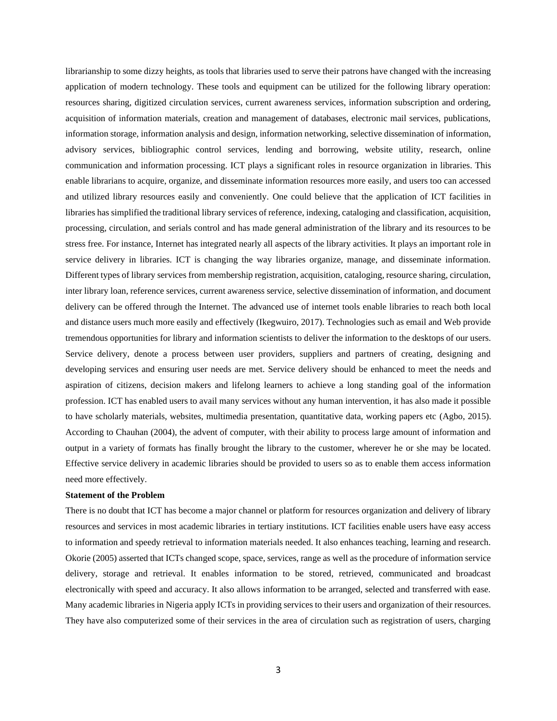librarianship to some dizzy heights, as tools that libraries used to serve their patrons have changed with the increasing application of modern technology. These tools and equipment can be utilized for the following library operation: resources sharing, digitized circulation services, current awareness services, information subscription and ordering, acquisition of information materials, creation and management of databases, electronic mail services, publications, information storage, information analysis and design, information networking, selective dissemination of information, advisory services, bibliographic control services, lending and borrowing, website utility, research, online communication and information processing. ICT plays a significant roles in resource organization in libraries. This enable librarians to acquire, organize, and disseminate information resources more easily, and users too can accessed and utilized library resources easily and conveniently. One could believe that the application of ICT facilities in libraries has simplified the traditional library services of reference, indexing, cataloging and classification, acquisition, processing, circulation, and serials control and has made general administration of the library and its resources to be stress free. For instance, Internet has integrated nearly all aspects of the library activities. It plays an important role in service delivery in libraries. ICT is changing the way libraries organize, manage, and disseminate information. Different types of library services from membership registration, acquisition, cataloging, resource sharing, circulation, inter library loan, reference services, current awareness service, selective dissemination of information, and document delivery can be offered through the Internet. The advanced use of internet tools enable libraries to reach both local and distance users much more easily and effectively (Ikegwuiro, 2017). Technologies such as email and Web provide tremendous opportunities for library and information scientists to deliver the information to the desktops of our users. Service delivery, denote a process between user providers, suppliers and partners of creating, designing and developing services and ensuring user needs are met. Service delivery should be enhanced to meet the needs and aspiration of citizens, decision makers and lifelong learners to achieve a long standing goal of the information profession. ICT has enabled users to avail many services without any human intervention, it has also made it possible to have scholarly materials, websites, multimedia presentation, quantitative data, working papers etc (Agbo, 2015). According to Chauhan (2004), the advent of computer, with their ability to process large amount of information and output in a variety of formats has finally brought the library to the customer, wherever he or she may be located. Effective service delivery in academic libraries should be provided to users so as to enable them access information need more effectively.

#### **Statement of the Problem**

There is no doubt that ICT has become a major channel or platform for resources organization and delivery of library resources and services in most academic libraries in tertiary institutions. ICT facilities enable users have easy access to information and speedy retrieval to information materials needed. It also enhances teaching, learning and research. Okorie (2005) asserted that ICTs changed scope, space, services, range as well as the procedure of information service delivery, storage and retrieval. It enables information to be stored, retrieved, communicated and broadcast electronically with speed and accuracy. It also allows information to be arranged, selected and transferred with ease. Many academic libraries in Nigeria apply ICTs in providing services to their users and organization of their resources. They have also computerized some of their services in the area of circulation such as registration of users, charging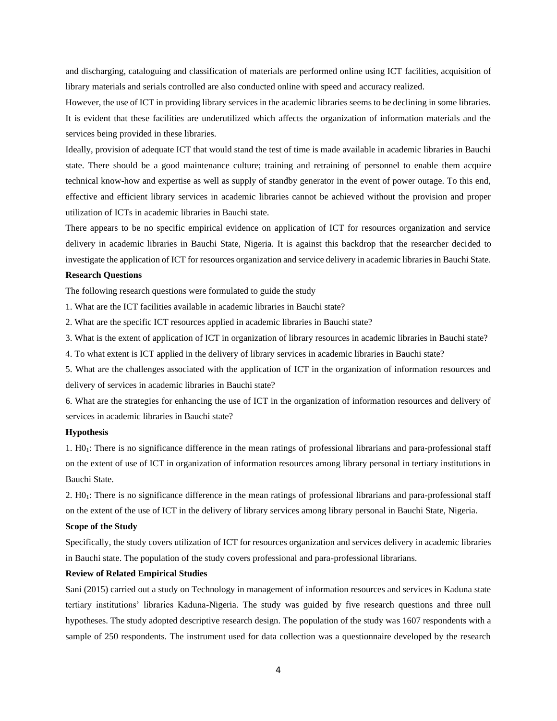and discharging, cataloguing and classification of materials are performed online using ICT facilities, acquisition of library materials and serials controlled are also conducted online with speed and accuracy realized.

However, the use of ICT in providing library services in the academic libraries seems to be declining in some libraries. It is evident that these facilities are underutilized which affects the organization of information materials and the services being provided in these libraries.

Ideally, provision of adequate ICT that would stand the test of time is made available in academic libraries in Bauchi state. There should be a good maintenance culture; training and retraining of personnel to enable them acquire technical know-how and expertise as well as supply of standby generator in the event of power outage. To this end, effective and efficient library services in academic libraries cannot be achieved without the provision and proper utilization of ICTs in academic libraries in Bauchi state.

There appears to be no specific empirical evidence on application of ICT for resources organization and service delivery in academic libraries in Bauchi State, Nigeria. It is against this backdrop that the researcher decided to investigate the application of ICT for resources organization and service delivery in academic libraries in Bauchi State.

#### **Research Questions**

The following research questions were formulated to guide the study

1. What are the ICT facilities available in academic libraries in Bauchi state?

2. What are the specific ICT resources applied in academic libraries in Bauchi state?

3. What is the extent of application of ICT in organization of library resources in academic libraries in Bauchi state?

4. To what extent is ICT applied in the delivery of library services in academic libraries in Bauchi state?

5. What are the challenges associated with the application of ICT in the organization of information resources and delivery of services in academic libraries in Bauchi state?

6. What are the strategies for enhancing the use of ICT in the organization of information resources and delivery of services in academic libraries in Bauchi state?

#### **Hypothesis**

1. H01: There is no significance difference in the mean ratings of professional librarians and para-professional staff on the extent of use of ICT in organization of information resources among library personal in tertiary institutions in Bauchi State.

2. H01: There is no significance difference in the mean ratings of professional librarians and para-professional staff on the extent of the use of ICT in the delivery of library services among library personal in Bauchi State, Nigeria.

#### **Scope of the Study**

Specifically, the study covers utilization of ICT for resources organization and services delivery in academic libraries in Bauchi state. The population of the study covers professional and para-professional librarians.

#### **Review of Related Empirical Studies**

Sani (2015) carried out a study on Technology in management of information resources and services in Kaduna state tertiary institutions' libraries Kaduna-Nigeria. The study was guided by five research questions and three null hypotheses. The study adopted descriptive research design. The population of the study was 1607 respondents with a sample of 250 respondents. The instrument used for data collection was a questionnaire developed by the research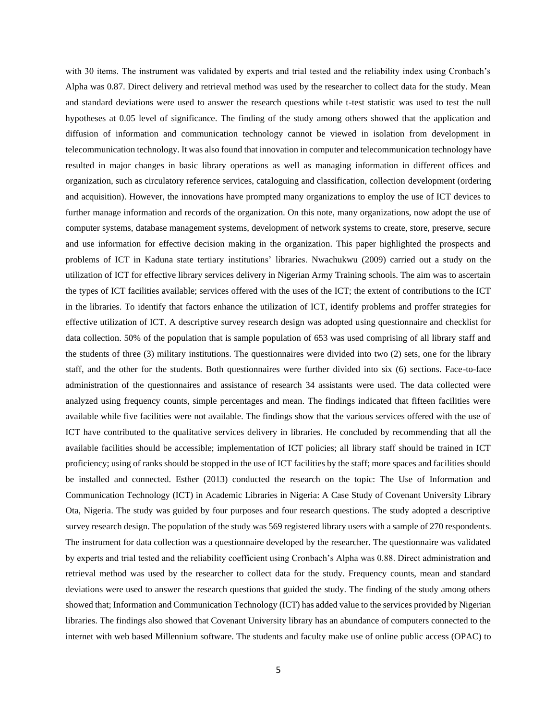with 30 items. The instrument was validated by experts and trial tested and the reliability index using Cronbach's Alpha was 0.87. Direct delivery and retrieval method was used by the researcher to collect data for the study. Mean and standard deviations were used to answer the research questions while t-test statistic was used to test the null hypotheses at 0.05 level of significance. The finding of the study among others showed that the application and diffusion of information and communication technology cannot be viewed in isolation from development in telecommunication technology. It was also found that innovation in computer and telecommunication technology have resulted in major changes in basic library operations as well as managing information in different offices and organization, such as circulatory reference services, cataloguing and classification, collection development (ordering and acquisition). However, the innovations have prompted many organizations to employ the use of ICT devices to further manage information and records of the organization. On this note, many organizations, now adopt the use of computer systems, database management systems, development of network systems to create, store, preserve, secure and use information for effective decision making in the organization. This paper highlighted the prospects and problems of ICT in Kaduna state tertiary institutions' libraries. Nwachukwu (2009) carried out a study on the utilization of ICT for effective library services delivery in Nigerian Army Training schools. The aim was to ascertain the types of ICT facilities available; services offered with the uses of the ICT; the extent of contributions to the ICT in the libraries. To identify that factors enhance the utilization of ICT, identify problems and proffer strategies for effective utilization of ICT. A descriptive survey research design was adopted using questionnaire and checklist for data collection. 50% of the population that is sample population of 653 was used comprising of all library staff and the students of three (3) military institutions. The questionnaires were divided into two (2) sets, one for the library staff, and the other for the students. Both questionnaires were further divided into six (6) sections. Face-to-face administration of the questionnaires and assistance of research 34 assistants were used. The data collected were analyzed using frequency counts, simple percentages and mean. The findings indicated that fifteen facilities were available while five facilities were not available. The findings show that the various services offered with the use of ICT have contributed to the qualitative services delivery in libraries. He concluded by recommending that all the available facilities should be accessible; implementation of ICT policies; all library staff should be trained in ICT proficiency; using of ranks should be stopped in the use of ICT facilities by the staff; more spaces and facilities should be installed and connected. Esther (2013) conducted the research on the topic: The Use of Information and Communication Technology (ICT) in Academic Libraries in Nigeria: A Case Study of Covenant University Library Ota, Nigeria. The study was guided by four purposes and four research questions. The study adopted a descriptive survey research design. The population of the study was 569 registered library users with a sample of 270 respondents. The instrument for data collection was a questionnaire developed by the researcher. The questionnaire was validated by experts and trial tested and the reliability coefficient using Cronbach's Alpha was 0.88. Direct administration and retrieval method was used by the researcher to collect data for the study. Frequency counts, mean and standard deviations were used to answer the research questions that guided the study. The finding of the study among others showed that; Information and Communication Technology (ICT) has added value to the services provided by Nigerian libraries. The findings also showed that Covenant University library has an abundance of computers connected to the internet with web based Millennium software. The students and faculty make use of online public access (OPAC) to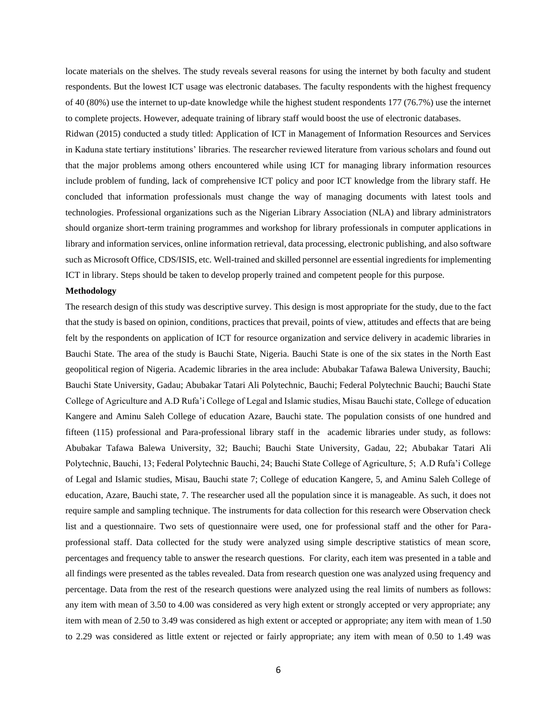locate materials on the shelves. The study reveals several reasons for using the internet by both faculty and student respondents. But the lowest ICT usage was electronic databases. The faculty respondents with the highest frequency of 40 (80%) use the internet to up-date knowledge while the highest student respondents 177 (76.7%) use the internet to complete projects. However, adequate training of library staff would boost the use of electronic databases.

Ridwan (2015) conducted a study titled: Application of ICT in Management of Information Resources and Services in Kaduna state tertiary institutions' libraries. The researcher reviewed literature from various scholars and found out that the major problems among others encountered while using ICT for managing library information resources include problem of funding, lack of comprehensive ICT policy and poor ICT knowledge from the library staff. He concluded that information professionals must change the way of managing documents with latest tools and technologies. Professional organizations such as the Nigerian Library Association (NLA) and library administrators should organize short-term training programmes and workshop for library professionals in computer applications in library and information services, online information retrieval, data processing, electronic publishing, and also software such as Microsoft Office, CDS/ISIS, etc. Well-trained and skilled personnel are essential ingredients for implementing ICT in library. Steps should be taken to develop properly trained and competent people for this purpose.

#### **Methodology**

The research design of this study was descriptive survey. This design is most appropriate for the study, due to the fact that the study is based on opinion, conditions, practices that prevail, points of view, attitudes and effects that are being felt by the respondents on application of ICT for resource organization and service delivery in academic libraries in Bauchi State. The area of the study is Bauchi State, Nigeria. Bauchi State is one of the six states in the North East geopolitical region of Nigeria. Academic libraries in the area include: Abubakar Tafawa Balewa University, Bauchi; Bauchi State University, Gadau; Abubakar Tatari Ali Polytechnic, Bauchi; Federal Polytechnic Bauchi; Bauchi State College of Agriculture and A.D Rufa'i College of Legal and Islamic studies, Misau Bauchi state, College of education Kangere and Aminu Saleh College of education Azare, Bauchi state. The population consists of one hundred and fifteen (115) professional and Para-professional library staff in the academic libraries under study, as follows: Abubakar Tafawa Balewa University, 32; Bauchi; Bauchi State University, Gadau, 22; Abubakar Tatari Ali Polytechnic, Bauchi, 13; Federal Polytechnic Bauchi, 24; Bauchi State College of Agriculture, 5; A.D Rufa'i College of Legal and Islamic studies, Misau, Bauchi state 7; College of education Kangere, 5, and Aminu Saleh College of education, Azare, Bauchi state, 7. The researcher used all the population since it is manageable. As such, it does not require sample and sampling technique. The instruments for data collection for this research were Observation check list and a questionnaire. Two sets of questionnaire were used, one for professional staff and the other for Paraprofessional staff. Data collected for the study were analyzed using simple descriptive statistics of mean score, percentages and frequency table to answer the research questions. For clarity, each item was presented in a table and all findings were presented as the tables revealed. Data from research question one was analyzed using frequency and percentage. Data from the rest of the research questions were analyzed using the real limits of numbers as follows: any item with mean of 3.50 to 4.00 was considered as very high extent or strongly accepted or very appropriate; any item with mean of 2.50 to 3.49 was considered as high extent or accepted or appropriate; any item with mean of 1.50 to 2.29 was considered as little extent or rejected or fairly appropriate; any item with mean of 0.50 to 1.49 was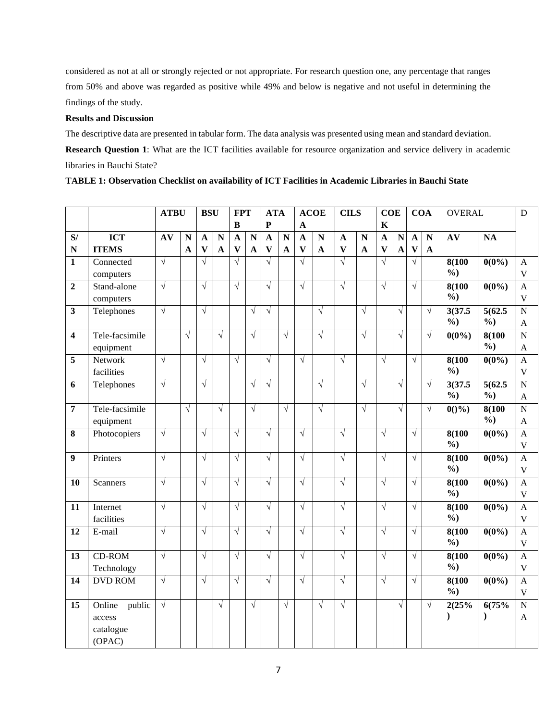considered as not at all or strongly rejected or not appropriate. For research question one, any percentage that ranges from 50% and above was regarded as positive while 49% and below is negative and not useful in determining the findings of the study.

#### **Results and Discussion**

The descriptive data are presented in tabular form. The data analysis was presented using mean and standard deviation.

**Research Question 1**: What are the ICT facilities available for resource organization and service delivery in academic libraries in Bauchi State?

|                         |                                                   | <b>ATBU</b> |             | <b>BSU</b>                |                         | <b>FPT</b>   |                    | <b>ATA</b>   |                    |                           | <b>ACOE</b>          | <b>CILS</b>               |             | <b>COE</b>                |                         |                         | <b>COA</b>   | <b>OVERAL</b>            |                          | D                                         |
|-------------------------|---------------------------------------------------|-------------|-------------|---------------------------|-------------------------|--------------|--------------------|--------------|--------------------|---------------------------|----------------------|---------------------------|-------------|---------------------------|-------------------------|-------------------------|--------------|--------------------------|--------------------------|-------------------------------------------|
|                         |                                                   |             |             |                           |                         | $\, {\bf B}$ |                    | $\mathbf P$  |                    | $\mathbf{A}$              |                      |                           |             | $\mathbf K$               |                         |                         |              |                          |                          |                                           |
| S/                      | <b>ICT</b>                                        | AV          | $\mathbf N$ | A                         | $\overline{\mathbf{N}}$ | $\mathbf{A}$ | $\overline{\bf N}$ | $\mathbf{A}$ | $\overline{\bf N}$ | $\mathbf{A}$              | $\overline{\bf N}$   | $\mathbf{A}$              | N           | $\overline{\mathbf{A}}$   | $\overline{\mathbf{N}}$ | $\mathbf{A}$            | N            | AV                       | NA                       |                                           |
| $\mathbf N$             | <b>ITEMS</b>                                      |             | $\mathbf A$ | $\boldsymbol{\mathrm{V}}$ | $\mathbf A$             | $\mathbf{V}$ | $\mathbf{A}$       | $\mathbf{V}$ | $\mathbf{A}$       | $\boldsymbol{\mathrm{V}}$ | $\boldsymbol{\rm A}$ | $\boldsymbol{\mathrm{V}}$ | $\mathbf A$ | $\boldsymbol{\mathrm{V}}$ | $\mathbf{A}$            | $\overline{\mathbf{V}}$ | $\mathbf{A}$ |                          |                          |                                           |
| $\mathbf{1}$            | Connected<br>computers                            | $\sqrt{}$   |             | $\sqrt{}$                 |                         | $\sqrt{}$    |                    | $\sqrt{}$    |                    | $\sqrt{ }$                |                      | $\sqrt{}$                 |             | $\sqrt{}$                 |                         | $\sqrt{ }$              |              | 8(100<br>$\frac{6}{2}$   | $0(0\%)$                 | $\mathbf{A}$<br>$\overline{\mathbf{V}}$   |
| $\overline{2}$          | Stand-alone<br>computers                          | $\sqrt{}$   |             | $\sqrt{}$                 |                         | $\sqrt{}$    |                    | $\sqrt{}$    |                    | $\sqrt{}$                 |                      | $\sqrt{}$                 |             | $\sqrt{}$                 |                         | $\sqrt{ }$              |              | 8(100)<br>$\frac{6}{2}$  | $0(0\%)$                 | $\mathbf{A}$<br>$\mathbf{V}$              |
| $\overline{\mathbf{3}}$ | Telephones                                        | $\sqrt{}$   |             | $\sqrt{}$                 |                         |              | $\sqrt{}$          | $\sqrt{}$    |                    |                           | $\sqrt{}$            |                           | $\sqrt{}$   |                           | $\sqrt{}$               |                         | $\sqrt{}$    | 3(37.5)<br>$\frac{6}{2}$ | 5(62.5)<br>$\frac{6}{2}$ | $\overline{N}$<br>A                       |
| 4                       | Tele-facsimile<br>equipment                       |             | $\sqrt{ }$  |                           | $\sqrt{}$               |              | $\sqrt{}$          |              | $\sqrt{}$          |                           | $\sqrt{}$            |                           | $\sqrt{}$   |                           | $\sqrt{}$               |                         | $\sqrt{}$    | $0(0\%)$                 | 8(100<br>$\frac{6}{2}$   | $\mathbf N$<br>$\mathbf{A}$               |
| 5                       | Network<br>facilities                             | $\sqrt{}$   |             | $\sqrt{}$                 |                         | $\sqrt{}$    |                    | $\sqrt{}$    |                    | $\sqrt{ }$                |                      | $\sqrt{}$                 |             | $\sqrt{}$                 |                         | $\sqrt{}$               |              | 8(100)<br>$\frac{0}{0}$  | $0(0\%)$                 | $\mathbf{A}$<br>$\mathbf V$               |
| 6                       | Telephones                                        | $\sqrt{}$   |             | $\sqrt{}$                 |                         |              | $\sqrt{ }$         | $\sqrt{}$    |                    |                           | $\sqrt{ }$           |                           | $\sqrt{ }$  |                           | $\sqrt{}$               |                         | $\sqrt{}$    | 3(37.5)<br>$\frac{0}{0}$ | 5(62.5)<br>$\frac{0}{0}$ | $\overline{N}$<br>$\mathbf{A}$            |
| $\overline{7}$          | Tele-facsimile<br>equipment                       |             | $\sqrt{ }$  |                           | $\sqrt{ }$              |              | $\sqrt{ }$         |              | $\sqrt{}$          |                           | $\sqrt{}$            |                           | $\sqrt{}$   |                           | $\sqrt{}$               |                         | $\sqrt{ }$   | $0()$ %)                 | 8(100<br>$\frac{0}{0}$   | $\overline{N}$<br>$\mathbf{A}$            |
| 8                       | Photocopiers                                      | $\sqrt{}$   |             | $\sqrt{}$                 |                         | $\sqrt{}$    |                    | $\sqrt{}$    |                    | $\sqrt{}$                 |                      | $\sqrt{}$                 |             | $\sqrt{}$                 |                         | $\sqrt{ }$              |              | 8(100)<br>$\frac{6}{2}$  | $0(0\%)$                 | $\mathbf{A}$<br>$\mathbf V$               |
| 9                       | Printers                                          | $\sqrt{}$   |             | $\sqrt{}$                 |                         | $\sqrt{}$    |                    | $\sqrt{}$    |                    | $\sqrt{ }$                |                      | $\sqrt{}$                 |             | $\sqrt{}$                 |                         | $\sqrt{ }$              |              | 8(100)<br>$\frac{6}{2}$  | $0(0\%)$                 | $\overline{A}$<br>$\overline{\mathsf{V}}$ |
| 10                      | <b>Scanners</b>                                   | $\sqrt{}$   |             | $\sqrt{}$                 |                         | $\sqrt{}$    |                    | $\sqrt{}$    |                    | $\sqrt{ }$                |                      | $\sqrt{}$                 |             | $\sqrt{}$                 |                         | $\sqrt{}$               |              | 8(100)<br>$\frac{6}{2}$  | $0(0\%)$                 | $\mathbf{A}$<br>$\mathbf{V}$              |
| 11                      | Internet<br>facilities                            | $\sqrt{}$   |             | $\sqrt{}$                 |                         | $\sqrt{}$    |                    | $\sqrt{}$    |                    | $\sqrt{}$                 |                      | $\sqrt{}$                 |             | $\sqrt{}$                 |                         | $\sqrt{ }$              |              | 8(100<br>$\frac{0}{0}$   | $0(0\%)$                 | $\overline{A}$<br>$\mathbf{V}$            |
| 12                      | E-mail                                            | $\sqrt{}$   |             | $\sqrt{}$                 |                         | $\sqrt{}$    |                    | $\sqrt{}$    |                    | $\sqrt{ }$                |                      | $\sqrt{}$                 |             | $\sqrt{}$                 |                         | $\sqrt{}$               |              | 8(100<br>$\frac{0}{0}$   | $0(0\%)$                 | $\mathbf{A}$<br>$\mathbf V$               |
| 13                      | CD-ROM<br>Technology                              | $\sqrt{}$   |             | $\sqrt{}$                 |                         | $\sqrt{}$    |                    | $\sqrt{}$    |                    | $\sqrt{ }$                |                      | $\sqrt{}$                 |             | $\sqrt{}$                 |                         | $\sqrt{}$               |              | 8(100<br>$\frac{0}{0}$   | $0(0\%)$                 | $\mathbf{A}$<br>$\mathbf{V}$              |
| 14                      | <b>DVD ROM</b>                                    | $\sqrt{}$   |             | $\sqrt{}$                 |                         | $\sqrt{}$    |                    | $\sqrt{}$    |                    | $\sqrt{ }$                |                      | $\sqrt{}$                 |             | $\sqrt{}$                 |                         | $\sqrt{}$               |              | 8(100)<br>$\frac{6}{2}$  | $0(0\%)$                 | $\overline{A}$<br>$\mathbf{V}$            |
| 15                      | Online<br>public<br>access<br>catalogue<br>(OPAC) | $\sqrt{}$   |             |                           | $\sqrt{}$               |              | $\sqrt{}$          |              | $\sqrt{}$          |                           | $\sqrt{}$            | $\sqrt{}$                 |             |                           | $\sqrt{}$               |                         | $\sqrt{}$    | 2(25%<br>℩               | 6(75%<br>$\mathcal{E}$   | $\overline{N}$<br>$\mathbf{A}$            |

**TABLE 1: Observation Checklist on availability of ICT Facilities in Academic Libraries in Bauchi State**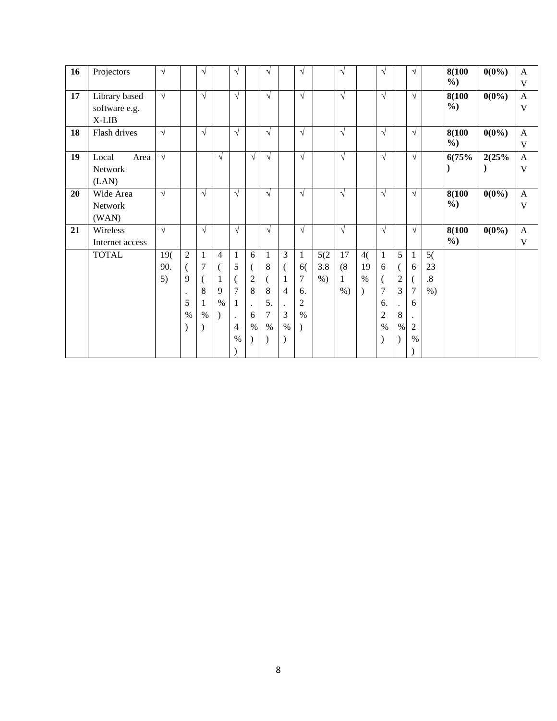| 16 | Projectors      | $\sqrt{ }$ |                | $\sqrt{ }$ |                | V                    |                | V            |                | $\sqrt{ }$     |       | $\sqrt{ }$ |      | $\sqrt{}$      |                | $\sqrt{ }$           |        | 8(100         | $0(0\%)$  | $\mathbf{A}$ |
|----|-----------------|------------|----------------|------------|----------------|----------------------|----------------|--------------|----------------|----------------|-------|------------|------|----------------|----------------|----------------------|--------|---------------|-----------|--------------|
|    |                 |            |                |            |                |                      |                |              |                |                |       |            |      |                |                |                      |        | $\frac{0}{0}$ |           | V            |
| 17 | Library based   | $\sqrt{ }$ |                | $\sqrt{ }$ |                | $\sqrt{ }$           |                | $\sqrt{}$    |                | $\sqrt{ }$     |       | $\sqrt{ }$ |      | $\sqrt{ }$     |                | $\sqrt{}$            |        | 8(100         | $0(0\%)$  | $\mathbf{A}$ |
|    | software e.g.   |            |                |            |                |                      |                |              |                |                |       |            |      |                |                |                      |        | $\frac{6}{9}$ |           | V            |
|    | X-LIB           |            |                |            |                |                      |                |              |                |                |       |            |      |                |                |                      |        |               |           |              |
| 18 | Flash drives    | $\sqrt{ }$ |                | $\sqrt{ }$ |                | $\sqrt{ }$           |                | $\sqrt{ }$   |                | $\sqrt{ }$     |       | $\sqrt{ }$ |      | $\sqrt{ }$     |                | $\sqrt{}$            |        | 8(100         | $0(0\%)$  | $\mathbf{A}$ |
|    |                 |            |                |            |                |                      |                |              |                |                |       |            |      |                |                |                      |        | $\frac{6}{9}$ |           | V            |
| 19 | Local<br>Area   | $\sqrt{ }$ |                |            | $\sqrt{ }$     |                      | $\sqrt{ }$     | $\sqrt{ }$   |                | $\sqrt{ }$     |       | $\sqrt{ }$ |      | $\sqrt{}$      |                | $\sqrt{ }$           |        | 6(75%         | 2(25%     | $\mathbf{A}$ |
|    | Network         |            |                |            |                |                      |                |              |                |                |       |            |      |                |                |                      |        |               | $\lambda$ | V            |
|    | (LAN)           |            |                |            |                |                      |                |              |                |                |       |            |      |                |                |                      |        |               |           |              |
| 20 | Wide Area       | $\sqrt{ }$ |                | $\sqrt{ }$ |                | $\sqrt{ }$           |                | $\sqrt{ }$   |                | $\sqrt{ }$     |       | $\sqrt{ }$ |      | $\sqrt{ }$     |                | $\sqrt{ }$           |        | 8(100         | $0(0\%)$  | $\mathbf{A}$ |
|    | Network         |            |                |            |                |                      |                |              |                |                |       |            |      |                |                |                      |        | $\frac{6}{9}$ |           | V            |
|    | (WAN)           |            |                |            |                |                      |                |              |                |                |       |            |      |                |                |                      |        |               |           |              |
| 21 | Wireless        | $\sqrt{ }$ |                | $\sqrt{ }$ |                | $\sqrt{ }$           |                | $\sqrt{ }$   |                | $\sqrt{ }$     |       | $\sqrt{ }$ |      | $\sqrt{ }$     |                | $\sqrt{ }$           |        | 8(100         | $0(0\%)$  | $\mathbf{A}$ |
|    | Internet access |            |                |            |                |                      |                |              |                |                |       |            |      |                |                |                      |        | $\frac{6}{9}$ |           | $\mathbf V$  |
|    | <b>TOTAL</b>    | 19(        | $\overline{2}$ | 1          | $\overline{4}$ | $\mathbf{1}$         | 6              | $\mathbf{1}$ | 3              | $\mathbf{1}$   | 5(2)  | 17         | 4(   | $\mathbf{1}$   | 5 <sup>5</sup> | $\mathbf{1}$         | 5(     |               |           |              |
|    |                 | 90.        | €              | $\tau$     | $\overline{(}$ | 5                    |                | 8            | (              | 6(             | 3.8   | (8)        | 19   | 6              |                | 6                    | 23     |               |           |              |
|    |                 | 5)         | 9              |            | 1              | $\mathcal{L}$        | $\overline{c}$ | $\left($     | $\mathbf{1}$   | $\tau$         | $%$ ) | 1          | $\%$ | $\left($       | $\overline{c}$ |                      | $.8\,$ |               |           |              |
|    |                 |            | $\bullet$      | 8          | 9              | $\overline{7}$       | 8              | 8            | $\overline{4}$ | 6.             |       | $%$ )      |      | $\overline{7}$ | 3              | 7                    | $%$ )  |               |           |              |
|    |                 |            | 5              | 1          | $\%$           | $\mathbf{1}$         | $\bullet$      | 5.           | $\cdot$        | $\overline{c}$ |       |            |      | 6.             |                | 6                    |        |               |           |              |
|    |                 |            | $\%$           | $\%$       | $\lambda$      | $\ddot{\phantom{0}}$ | 6              | 7            | $\overline{3}$ | $\%$           |       |            |      | $\mathfrak{2}$ | 8              | $\ddot{\phantom{0}}$ |        |               |           |              |
|    |                 |            | )              |            |                | $\overline{4}$       | $\%$           | $\%$         | $\%$           |                |       |            |      | $\%$           | $\%$           | 2                    |        |               |           |              |
|    |                 |            |                |            |                | $\%$                 |                | $\lambda$    | $\lambda$      |                |       |            |      | $\lambda$      |                | $\%$                 |        |               |           |              |
|    |                 |            |                |            |                |                      |                |              |                |                |       |            |      |                |                |                      |        |               |           |              |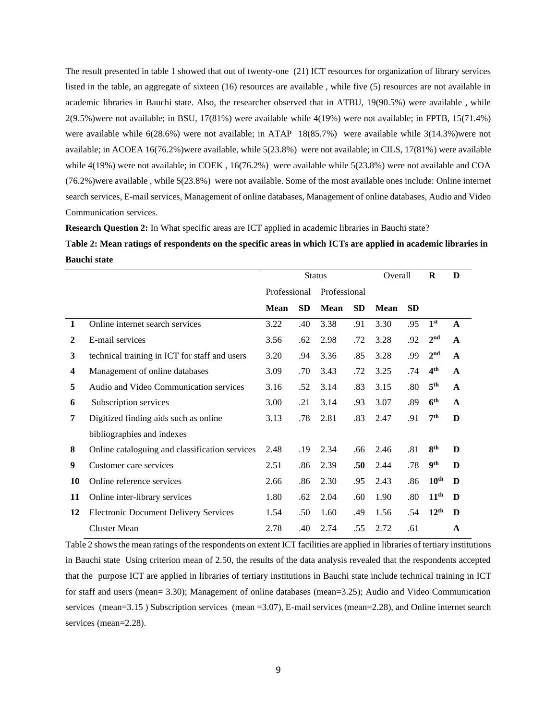The result presented in table 1 showed that out of twenty-one (21) ICT resources for organization of library services listed in the table, an aggregate of sixteen (16) resources are available , while five (5) resources are not available in academic libraries in Bauchi state. Also, the researcher observed that in ATBU, 19(90.5%) were available , while 2(9.5%)were not available; in BSU, 17(81%) were available while 4(19%) were not available; in FPTB, 15(71.4%) were available while 6(28.6%) were not available; in ATAP 18(85.7%) were available while 3(14.3%)were not available; in ACOEA 16(76.2%)were available, while 5(23.8%) were not available; in CILS, 17(81%) were available while 4(19%) were not available; in COEK, 16(76.2%) were available while 5(23.8%) were not available and COA (76.2%)were available , while 5(23.8%) were not available. Some of the most available ones include: Online internet search services, E-mail services, Management of online databases, Management of online databases, Audio and Video Communication services.

**Research Question 2:** In What specific areas are ICT applied in academic libraries in Bauchi state?

## **Table 2: Mean ratings of respondents on the specific areas in which ICTs are applied in academic libraries in Bauchi state**

|    |                                                |              |           | <b>Status</b> |           | Overall |           | R                | D            |
|----|------------------------------------------------|--------------|-----------|---------------|-----------|---------|-----------|------------------|--------------|
|    |                                                | Professional |           | Professional  |           |         |           |                  |              |
|    |                                                | Mean         | <b>SD</b> | <b>Mean</b>   | <b>SD</b> | Mean    | <b>SD</b> |                  |              |
| 1  | Online internet search services                | 3.22         | .40       | 3.38          | .91       | 3.30    | .95       | 1 <sup>st</sup>  | $\mathbf{A}$ |
| 2  | E-mail services                                | 3.56         | .62       | 2.98          | .72       | 3.28    | .92       | 2 <sup>nd</sup>  | A            |
| 3  | technical training in ICT for staff and users  | 3.20         | .94       | 3.36          | .85       | 3.28    | .99       | 2 <sup>nd</sup>  | $\mathbf{A}$ |
| 4  | Management of online databases                 | 3.09         | .70       | 3.43          | .72       | 3.25    | .74       | 4 <sup>th</sup>  | $\mathbf{A}$ |
| 5  | Audio and Video Communication services         | 3.16         | .52       | 3.14          | .83       | 3.15    | .80       | 5 <sup>th</sup>  | $\mathbf{A}$ |
| 6  | Subscription services                          | 3.00         | .21       | 3.14          | .93       | 3.07    | .89       | 6 <sup>th</sup>  | $\mathbf{A}$ |
| 7  | Digitized finding aids such as online          | 3.13         | .78       | 2.81          | .83       | 2.47    | .91       | 7 <sup>th</sup>  | D            |
|    | bibliographies and indexes                     |              |           |               |           |         |           |                  |              |
| 8  | Online cataloguing and classification services | 2.48         | .19       | 2.34          | .66       | 2.46    | .81       | 8 <sup>th</sup>  | D            |
| 9  | Customer care services                         | 2.51         | .86       | 2.39          | .50       | 2.44    | .78       | <b>9th</b>       | D            |
| 10 | Online reference services                      | 2.66         | .86       | 2.30          | .95       | 2.43    | .86       | 10 <sup>th</sup> | D            |
| 11 | Online inter-library services                  | 1.80         | .62       | 2.04          | .60       | 1.90    | .80       | 11 <sup>th</sup> | D            |
| 12 | <b>Electronic Document Delivery Services</b>   | 1.54         | .50       | 1.60          | .49       | 1.56    | .54       | 12 <sup>th</sup> | D            |
|    | <b>Cluster Mean</b>                            | 2.78         | .40       | 2.74          | .55       | 2.72    | .61       |                  | A            |

Table 2 shows the mean ratings of the respondents on extent ICT facilities are applied in libraries of tertiary institutions in Bauchi state Using criterion mean of 2.50, the results of the data analysis revealed that the respondents accepted that the purpose ICT are applied in libraries of tertiary institutions in Bauchi state include technical training in ICT for staff and users (mean= 3.30); Management of online databases (mean=3.25); Audio and Video Communication services (mean=3.15) Subscription services (mean =3.07), E-mail services (mean=2.28), and Online internet search services (mean=2.28).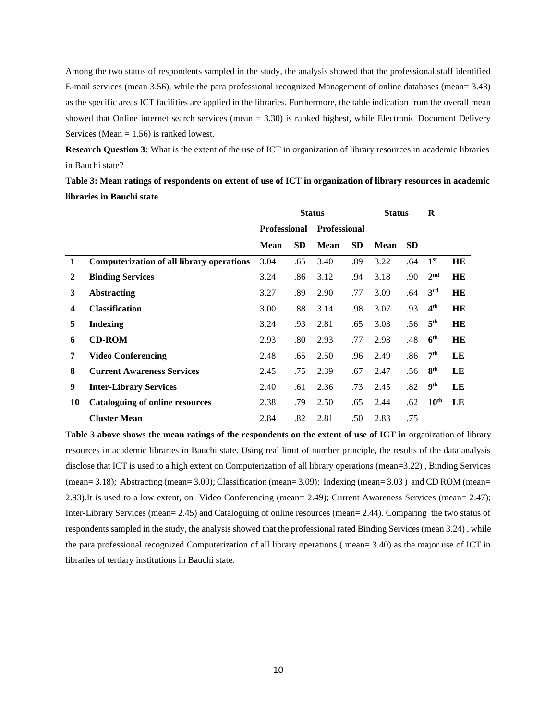Among the two status of respondents sampled in the study, the analysis showed that the professional staff identified E-mail services (mean 3.56), while the para professional recognized Management of online databases (mean= 3.43) as the specific areas ICT facilities are applied in the libraries. Furthermore, the table indication from the overall mean showed that Online internet search services (mean = 3.30) is ranked highest, while Electronic Document Delivery Services (Mean  $= 1.56$ ) is ranked lowest.

**Research Question 3:** What is the extent of the use of ICT in organization of library resources in academic libraries in Bauchi state?

**Table 3: Mean ratings of respondents on extent of use of ICT in organization of library resources in academic libraries in Bauchi state**

|    |                                                  |                     |           | <b>Status</b>       |           | <b>Status</b> |           | R                |           |
|----|--------------------------------------------------|---------------------|-----------|---------------------|-----------|---------------|-----------|------------------|-----------|
|    |                                                  | <b>Professional</b> |           | <b>Professional</b> |           |               |           |                  |           |
|    |                                                  | <b>Mean</b>         | <b>SD</b> | Mean                | <b>SD</b> | Mean          | <b>SD</b> |                  |           |
| 1  | <b>Computerization of all library operations</b> | 3.04                | .65       | 3.40                | .89       | 3.22          | .64       | 1 <sup>st</sup>  | <b>HE</b> |
| 2  | <b>Binding Services</b>                          | 3.24                | .86       | 3.12                | .94       | 3.18          | .90       | 2 <sup>nd</sup>  | HE        |
| 3  | <b>Abstracting</b>                               | 3.27                | .89       | 2.90                | .77       | 3.09          | .64       | 3 <sup>rd</sup>  | HE        |
| 4  | <b>Classification</b>                            | 3.00                | .88       | 3.14                | .98       | 3.07          | .93       | 4 <sup>th</sup>  | HE        |
| 5  | <b>Indexing</b>                                  | 3.24                | .93       | 2.81                | .65       | 3.03          | .56       | 5 <sup>th</sup>  | HE        |
| 6  | <b>CD-ROM</b>                                    | 2.93                | .80       | 2.93                | .77       | 2.93          | .48       | 6 <sup>th</sup>  | HE        |
| 7  | <b>Video Conferencing</b>                        | 2.48                | .65       | 2.50                | .96       | 2.49          | .86       | 7 <sup>th</sup>  | LE        |
| 8  | <b>Current Awareness Services</b>                | 2.45                | .75       | 2.39                | .67       | 2.47          | .56       | 8 <sup>th</sup>  | LE        |
| 9  | <b>Inter-Library Services</b>                    | 2.40                | .61       | 2.36                | .73       | 2.45          | .82       | 9 <sup>th</sup>  | LE        |
| 10 | <b>Cataloguing of online resources</b>           | 2.38                | .79       | 2.50                | .65       | 2.44          | .62       | 10 <sup>th</sup> | LE        |
|    | <b>Cluster Mean</b>                              | 2.84                | .82       | 2.81                | .50       | 2.83          | .75       |                  |           |

Table 3 above shows the mean ratings of the respondents on the extent of use of ICT in organization of library resources in academic libraries in Bauchi state. Using real limit of number principle, the results of the data analysis disclose that ICT is used to a high extent on Computerization of all library operations (mean=3.22) , Binding Services (mean= 3.18); Abstracting (mean= 3.09); Classification (mean= 3.09); Indexing (mean= 3.03 ) and CD ROM (mean= 2.93).It is used to a low extent, on Video Conferencing (mean= 2.49); Current Awareness Services (mean= 2.47); Inter-Library Services (mean= 2.45) and Cataloguing of online resources (mean= 2.44). Comparing the two status of respondents sampled in the study, the analysis showed that the professional rated Binding Services (mean 3.24) , while the para professional recognized Computerization of all library operations ( mean= 3.40) as the major use of ICT in libraries of tertiary institutions in Bauchi state.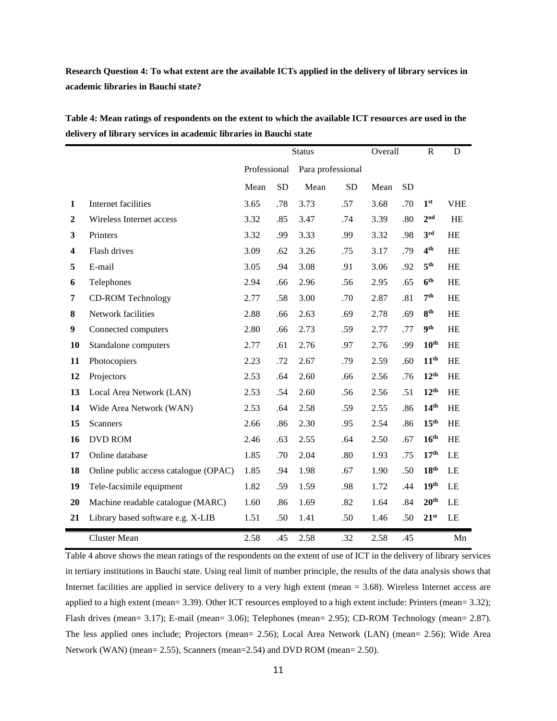**Research Question 4: To what extent are the available ICTs applied in the delivery of library services in academic libraries in Bauchi state?**

|                         |                                       |              |           | <b>Status</b>     |           | Overall |           | $\mathbb{R}$     | ${\bf D}$  |
|-------------------------|---------------------------------------|--------------|-----------|-------------------|-----------|---------|-----------|------------------|------------|
|                         |                                       | Professional |           | Para professional |           |         |           |                  |            |
|                         |                                       | Mean         | <b>SD</b> | Mean              | <b>SD</b> | Mean    | <b>SD</b> |                  |            |
| 1                       | Internet facilities                   | 3.65         | .78       | 3.73              | .57       | 3.68    | .70       | 1 <sup>st</sup>  | <b>VHE</b> |
| $\boldsymbol{2}$        | Wireless Internet access              | 3.32         | .85       | 3.47              | .74       | 3.39    | .80       | 2 <sup>nd</sup>  | HE         |
| 3                       | Printers                              | 3.32         | .99       | 3.33              | .99       | 3.32    | .98       | 3 <sup>rd</sup>  | HE         |
| $\overline{\mathbf{4}}$ | Flash drives                          | 3.09         | .62       | 3.26              | .75       | 3.17    | .79       | 4 <sup>th</sup>  | HE         |
| 5                       | E-mail                                | 3.05         | .94       | 3.08              | .91       | 3.06    | .92       | 5 <sup>th</sup>  | HE         |
| 6                       | Telephones                            | 2.94         | .66       | 2.96              | .56       | 2.95    | .65       | 6 <sup>th</sup>  | HE         |
| 7                       | <b>CD-ROM Technology</b>              | 2.77         | .58       | 3.00              | .70       | 2.87    | .81       | 7 <sup>th</sup>  | HE         |
| 8                       | Network facilities                    | 2.88         | .66       | 2.63              | .69       | 2.78    | .69       | 8 <sup>th</sup>  | HE         |
| 9                       | Connected computers                   | 2.80         | .66       | 2.73              | .59       | 2.77    | .77       | 9 <sup>th</sup>  | HE         |
| <b>10</b>               | Standalone computers                  | 2.77         | .61       | 2.76              | .97       | 2.76    | .99       | 10 <sup>th</sup> | HE         |
| 11                      | Photocopiers                          | 2.23         | .72       | 2.67              | .79       | 2.59    | .60       | 11 <sup>th</sup> | <b>HE</b>  |
| 12                      | Projectors                            | 2.53         | .64       | 2.60              | .66       | 2.56    | .76       | 12 <sup>th</sup> | HE         |
| 13                      | Local Area Network (LAN)              | 2.53         | .54       | 2.60              | .56       | 2.56    | .51       | 12 <sup>th</sup> | HE         |
| 14                      | Wide Area Network (WAN)               | 2.53         | .64       | 2.58              | .59       | 2.55    | .86       | 14 <sup>th</sup> | HE         |
| 15                      | <b>Scanners</b>                       | 2.66         | .86       | 2.30              | .95       | 2.54    | .86       | 15 <sup>th</sup> | <b>HE</b>  |
| 16                      | <b>DVD ROM</b>                        | 2.46         | .63       | 2.55              | .64       | 2.50    | .67       | 16 <sup>th</sup> | <b>HE</b>  |
| 17                      | Online database                       | 1.85         | .70       | 2.04              | .80       | 1.93    | .75       | 17 <sup>th</sup> | LE         |
| 18                      | Online public access catalogue (OPAC) | 1.85         | .94       | 1.98              | .67       | 1.90    | .50       | 18 <sup>th</sup> | LE         |
| 19                      | Tele-facsimile equipment              | 1.82         | .59       | 1.59              | .98       | 1.72    | .44       | 19 <sup>th</sup> | LE         |
| 20                      | Machine readable catalogue (MARC)     | 1.60         | .86       | 1.69              | .82       | 1.64    | .84       | 20 <sup>th</sup> | LE         |
| 21                      | Library based software e.g. X-LIB     | 1.51         | .50       | 1.41              | .50       | 1.46    | .50       | $21^{st}$        | LE         |
|                         | <b>Cluster Mean</b>                   | 2.58         | .45       | 2.58              | .32       | 2.58    | .45       |                  | Mn         |

**Table 4: Mean ratings of respondents on the extent to which the available ICT resources are used in the delivery of library services in academic libraries in Bauchi state**

Table 4 above shows the mean ratings of the respondents on the extent of use of ICT in the delivery of library services in tertiary institutions in Bauchi state. Using real limit of number principle, the results of the data analysis shows that Internet facilities are applied in service delivery to a very high extent (mean = 3.68). Wireless Internet access are applied to a high extent (mean= 3.39). Other ICT resources employed to a high extent include: Printers (mean= 3.32); Flash drives (mean= 3.17); E-mail (mean= 3.06); Telephones (mean= 2.95); CD-ROM Technology (mean= 2.87). The less applied ones include; Projectors (mean= 2.56); Local Area Network (LAN) (mean= 2.56); Wide Area Network (WAN) (mean= 2.55), Scanners (mean=2.54) and DVD ROM (mean= 2.50).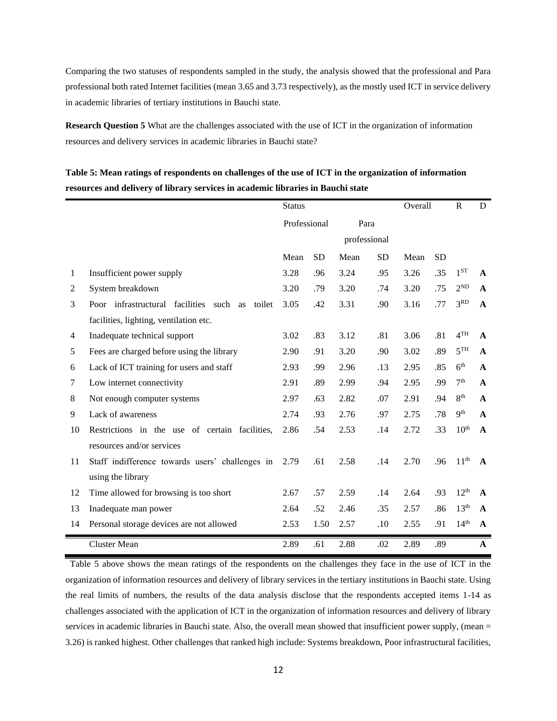Comparing the two statuses of respondents sampled in the study, the analysis showed that the professional and Para professional both rated Internet facilities (mean 3.65 and 3.73 respectively), as the mostly used ICT in service delivery in academic libraries of tertiary institutions in Bauchi state.

**Research Question 5** What are the challenges associated with the use of ICT in the organization of information resources and delivery services in academic libraries in Bauchi state?

## **Table 5: Mean ratings of respondents on challenges of the use of ICT in the organization of information resources and delivery of library services in academic libraries in Bauchi state**

|    |                                                      | <b>Status</b> |           |              |           | Overall |           | $\mathbb{R}$     | D            |
|----|------------------------------------------------------|---------------|-----------|--------------|-----------|---------|-----------|------------------|--------------|
|    |                                                      | Professional  |           | Para         |           |         |           |                  |              |
|    |                                                      |               |           | professional |           |         |           |                  |              |
|    |                                                      | Mean          | <b>SD</b> | Mean         | <b>SD</b> | Mean    | <b>SD</b> |                  |              |
| 1  | Insufficient power supply                            | 3.28          | .96       | 3.24         | .95       | 3.26    | .35       | $1^{ST}$         | $\mathbf{A}$ |
| 2  | System breakdown                                     | 3.20          | .79       | 3.20         | .74       | 3.20    | .75       | $2^{ND}$         | $\mathbf{A}$ |
| 3  | Poor infrastructural facilities such<br>toilet<br>as | 3.05          | .42       | 3.31         | .90       | 3.16    | .77       | 3 <sup>RD</sup>  | A            |
|    | facilities, lighting, ventilation etc.               |               |           |              |           |         |           |                  |              |
| 4  | Inadequate technical support                         | 3.02          | .83       | 3.12         | .81       | 3.06    | .81       | 4 <sup>TH</sup>  | $\mathbf{A}$ |
| 5  | Fees are charged before using the library            | 2.90          | .91       | 3.20         | .90       | 3.02    | .89       | 5 <sup>TH</sup>  | $\mathbf{A}$ |
| 6  | Lack of ICT training for users and staff             | 2.93          | .99       | 2.96         | .13       | 2.95    | .85       | 6 <sup>th</sup>  | $\mathbf{A}$ |
| 7  | Low internet connectivity                            | 2.91          | .89       | 2.99         | .94       | 2.95    | .99       | 7 <sup>th</sup>  | $\mathbf{A}$ |
| 8  | Not enough computer systems                          | 2.97          | .63       | 2.82         | .07       | 2.91    | .94       | 8 <sup>th</sup>  | A            |
| 9  | Lack of awareness                                    | 2.74          | .93       | 2.76         | .97       | 2.75    | .78       | 9 <sup>th</sup>  | $\mathbf{A}$ |
| 10 | Restrictions in the use of certain facilities,       | 2.86          | .54       | 2.53         | .14       | 2.72    | .33       | 10 <sup>th</sup> | $\mathbf{A}$ |
|    | resources and/or services                            |               |           |              |           |         |           |                  |              |
| 11 | Staff indifference towards users' challenges in      | 2.79          | .61       | 2.58         | .14       | 2.70    | .96       | 11 <sup>th</sup> | $\mathbf{A}$ |
|    | using the library                                    |               |           |              |           |         |           |                  |              |
| 12 | Time allowed for browsing is too short               | 2.67          | .57       | 2.59         | .14       | 2.64    | .93       | 12 <sup>th</sup> | $\mathbf{A}$ |
| 13 | Inadequate man power                                 | 2.64          | .52       | 2.46         | .35       | 2.57    | .86       | 13 <sup>th</sup> | $\mathbf{A}$ |
| 14 | Personal storage devices are not allowed             | 2.53          | 1.50      | 2.57         | .10       | 2.55    | .91       | 14 <sup>th</sup> | $\mathbf{A}$ |
|    | <b>Cluster Mean</b>                                  | 2.89          | .61       | 2.88         | .02       | 2.89    | .89       |                  | A            |

 Table 5 above shows the mean ratings of the respondents on the challenges they face in the use of ICT in the organization of information resources and delivery of library services in the tertiary institutions in Bauchi state. Using the real limits of numbers, the results of the data analysis disclose that the respondents accepted items 1-14 as challenges associated with the application of ICT in the organization of information resources and delivery of library services in academic libraries in Bauchi state. Also, the overall mean showed that insufficient power supply, (mean = 3.26) is ranked highest. Other challenges that ranked high include: Systems breakdown, Poor infrastructural facilities,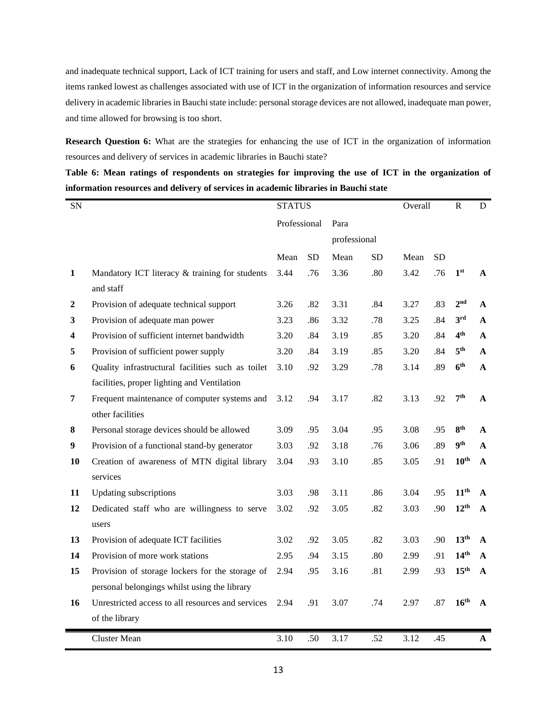and inadequate technical support, Lack of ICT training for users and staff, and Low internet connectivity. Among the items ranked lowest as challenges associated with use of ICT in the organization of information resources and service delivery in academic libraries in Bauchi state include: personal storage devices are not allowed, inadequate man power, and time allowed for browsing is too short.

**Research Question 6:** What are the strategies for enhancing the use of ICT in the organization of information resources and delivery of services in academic libraries in Bauchi state?

**Table 6: Mean ratings of respondents on strategies for improving the use of ICT in the organization of information resources and delivery of services in academic libraries in Bauchi state**

| <b>SN</b>        |                                                   | <b>STATUS</b> |           |              |           | Overall |           | ${\bf R}$        | D            |
|------------------|---------------------------------------------------|---------------|-----------|--------------|-----------|---------|-----------|------------------|--------------|
|                  |                                                   | Professional  |           | Para         |           |         |           |                  |              |
|                  |                                                   |               |           | professional |           |         |           |                  |              |
|                  |                                                   | Mean          | <b>SD</b> | Mean         | <b>SD</b> | Mean    | <b>SD</b> |                  |              |
| $\mathbf{1}$     | Mandatory ICT literacy & training for students    | 3.44          | .76       | 3.36         | .80       | 3.42    | .76       | 1 <sup>st</sup>  | A            |
|                  | and staff                                         |               |           |              |           |         |           |                  |              |
| $\boldsymbol{2}$ | Provision of adequate technical support           | 3.26          | .82       | 3.31         | .84       | 3.27    | .83       | 2 <sup>nd</sup>  | $\mathbf{A}$ |
| 3                | Provision of adequate man power                   | 3.23          | .86       | 3.32         | .78       | 3.25    | .84       | 3 <sup>rd</sup>  | $\mathbf{A}$ |
| 4                | Provision of sufficient internet bandwidth        | 3.20          | .84       | 3.19         | .85       | 3.20    | .84       | 4 <sup>th</sup>  | A            |
| 5                | Provision of sufficient power supply              | 3.20          | .84       | 3.19         | .85       | 3.20    | .84       | 5 <sup>th</sup>  | $\mathbf{A}$ |
| 6                | Quality infrastructural facilities such as toilet | 3.10          | .92       | 3.29         | .78       | 3.14    | .89       | 6 <sup>th</sup>  | A            |
|                  | facilities, proper lighting and Ventilation       |               |           |              |           |         |           |                  |              |
| 7                | Frequent maintenance of computer systems and      | 3.12          | .94       | 3.17         | .82       | 3.13    | .92       | 7 <sup>th</sup>  | A            |
|                  | other facilities                                  |               |           |              |           |         |           |                  |              |
| 8                | Personal storage devices should be allowed        | 3.09          | .95       | 3.04         | .95       | 3.08    | .95       | $8^{\rm th}$     | $\mathbf{A}$ |
| 9                | Provision of a functional stand-by generator      | 3.03          | .92       | 3.18         | .76       | 3.06    | .89       | <b>9th</b>       | $\mathbf{A}$ |
| 10               | Creation of awareness of MTN digital library      | 3.04          | .93       | 3.10         | .85       | 3.05    | .91       | $10^{\text{th}}$ | A            |
|                  | services                                          |               |           |              |           |         |           |                  |              |
| 11               | <b>Updating subscriptions</b>                     | 3.03          | .98       | 3.11         | .86       | 3.04    | .95       | 11 <sup>th</sup> | $\mathbf{A}$ |
| 12               | Dedicated staff who are willingness to serve      | 3.02          | .92       | 3.05         | .82       | 3.03    | .90       | $12^{th}$        | A            |
|                  | users                                             |               |           |              |           |         |           |                  |              |
| 13               | Provision of adequate ICT facilities              | 3.02          | .92       | 3.05         | .82       | 3.03    | .90       | 13 <sup>th</sup> | A            |
| 14               | Provision of more work stations                   | 2.95          | .94       | 3.15         | .80       | 2.99    | .91       | 14 <sup>th</sup> | $\mathbf{A}$ |
| 15               | Provision of storage lockers for the storage of   | 2.94          | .95       | 3.16         | .81       | 2.99    | .93       | 15 <sup>th</sup> | A            |
|                  | personal belongings whilst using the library      |               |           |              |           |         |           |                  |              |
| 16               | Unrestricted access to all resources and services | 2.94          | .91       | 3.07         | .74       | 2.97    | .87       | 16 <sup>th</sup> | A            |
|                  | of the library                                    |               |           |              |           |         |           |                  |              |
|                  | <b>Cluster Mean</b>                               | 3.10          | .50       | 3.17         | .52       | 3.12    | .45       |                  | A            |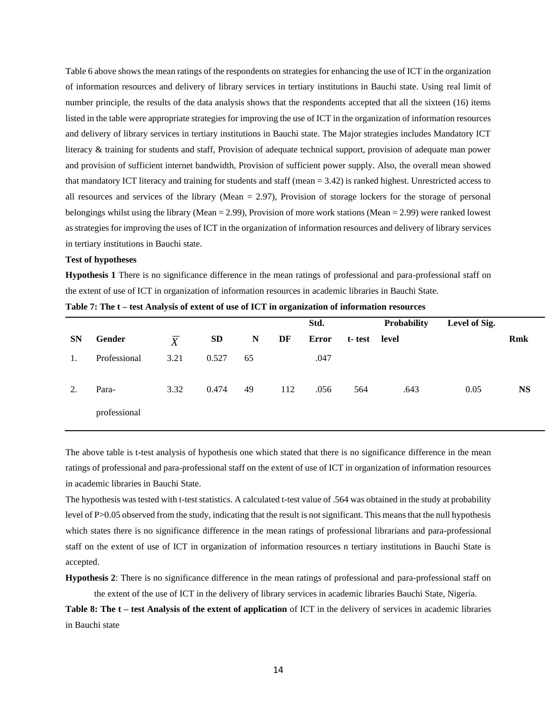Table 6 above shows the mean ratings of the respondents on strategies for enhancing the use of ICT in the organization of information resources and delivery of library services in tertiary institutions in Bauchi state. Using real limit of number principle, the results of the data analysis shows that the respondents accepted that all the sixteen (16) items listed in the table were appropriate strategies for improving the use of ICT in the organization of information resources and delivery of library services in tertiary institutions in Bauchi state. The Major strategies includes Mandatory ICT literacy & training for students and staff, Provision of adequate technical support, provision of adequate man power and provision of sufficient internet bandwidth, Provision of sufficient power supply. Also, the overall mean showed that mandatory ICT literacy and training for students and staff (mean = 3.42) is ranked highest. Unrestricted access to all resources and services of the library (Mean = 2.97), Provision of storage lockers for the storage of personal belongings whilst using the library (Mean = 2.99), Provision of more work stations (Mean = 2.99) were ranked lowest as strategies for improving the uses of ICT in the organization of information resources and delivery of library services in tertiary institutions in Bauchi state.

#### **Test of hypotheses**

**Hypothesis 1** There is no significance difference in the mean ratings of professional and para-professional staff on the extent of use of ICT in organization of information resources in academic libraries in Bauchi State.

|           |              |                |           |           |     | Std.  |        | Probability | Level of Sig. |            |
|-----------|--------------|----------------|-----------|-----------|-----|-------|--------|-------------|---------------|------------|
| <b>SN</b> | Gender       | $\overline{X}$ | <b>SD</b> | ${\bf N}$ | DF  | Error | t-test | level       |               | <b>Rmk</b> |
| 1.        | Professional | 3.21           | 0.527     | 65        |     | .047  |        |             |               |            |
| 2.        | Para-        | 3.32           | 0.474     | 49        | 112 | .056  | 564    | .643        | 0.05          | <b>NS</b>  |
|           | professional |                |           |           |     |       |        |             |               |            |

|  |  |  | Table 7: The t – test Analysis of extent of use of ICT in organization of information resources |  |  |  |  |  |  |  |
|--|--|--|-------------------------------------------------------------------------------------------------|--|--|--|--|--|--|--|
|  |  |  |                                                                                                 |  |  |  |  |  |  |  |

The above table is t-test analysis of hypothesis one which stated that there is no significance difference in the mean ratings of professional and para-professional staff on the extent of use of ICT in organization of information resources in academic libraries in Bauchi State.

The hypothesis was tested with t-test statistics. A calculated t-test value of .564 was obtained in the study at probability level of P>0.05 observed from the study, indicating that the result is not significant. This means that the null hypothesis which states there is no significance difference in the mean ratings of professional librarians and para-professional staff on the extent of use of ICT in organization of information resources n tertiary institutions in Bauchi State is accepted.

**Hypothesis 2**: There is no significance difference in the mean ratings of professional and para-professional staff on the extent of the use of ICT in the delivery of library services in academic libraries Bauchi State, Nigeria.

**Table 8: The t – test Analysis of the extent of application** of ICT in the delivery of services in academic libraries in Bauchi state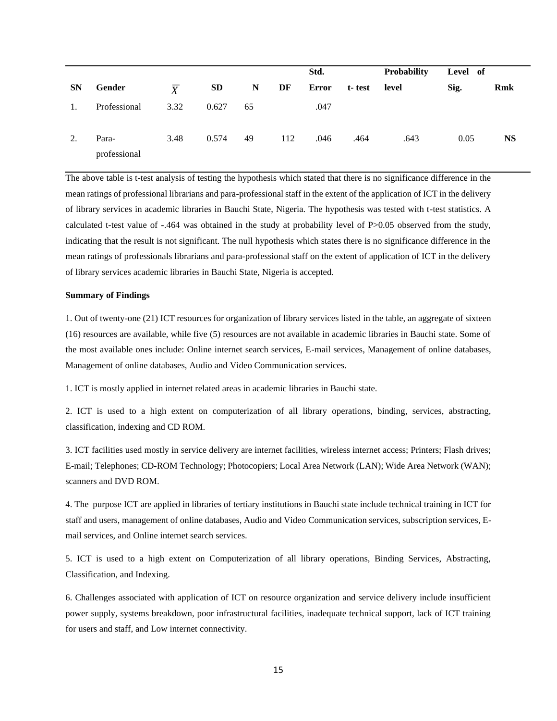|           |                       |                |           |             |     | Std.  |        | <b>Probability</b> | Level of |           |
|-----------|-----------------------|----------------|-----------|-------------|-----|-------|--------|--------------------|----------|-----------|
| <b>SN</b> | Gender                | $\overline{X}$ | <b>SD</b> | $\mathbf N$ | DF  | Error | t-test | level              | Sig.     | Rmk       |
| 1.        | Professional          | 3.32           | 0.627     | 65          |     | .047  |        |                    |          |           |
| 2.        | Para-<br>professional | 3.48           | 0.574     | 49          | 112 | .046  | .464   | .643               | 0.05     | <b>NS</b> |

The above table is t-test analysis of testing the hypothesis which stated that there is no significance difference in the mean ratings of professional librarians and para-professional staff in the extent of the application of ICT in the delivery of library services in academic libraries in Bauchi State, Nigeria. The hypothesis was tested with t-test statistics. A calculated t-test value of -.464 was obtained in the study at probability level of P>0.05 observed from the study, indicating that the result is not significant. The null hypothesis which states there is no significance difference in the mean ratings of professionals librarians and para-professional staff on the extent of application of ICT in the delivery of library services academic libraries in Bauchi State, Nigeria is accepted.

#### **Summary of Findings**

1. Out of twenty-one (21) ICT resources for organization of library services listed in the table, an aggregate of sixteen (16) resources are available, while five (5) resources are not available in academic libraries in Bauchi state. Some of the most available ones include: Online internet search services, E-mail services, Management of online databases, Management of online databases, Audio and Video Communication services.

1. ICT is mostly applied in internet related areas in academic libraries in Bauchi state.

2. ICT is used to a high extent on computerization of all library operations, binding, services, abstracting, classification, indexing and CD ROM.

3. ICT facilities used mostly in service delivery are internet facilities, wireless internet access; Printers; Flash drives; E-mail; Telephones; CD-ROM Technology; Photocopiers; Local Area Network (LAN); Wide Area Network (WAN); scanners and DVD ROM.

4. The purpose ICT are applied in libraries of tertiary institutions in Bauchi state include technical training in ICT for staff and users, management of online databases, Audio and Video Communication services, subscription services, Email services, and Online internet search services.

5. ICT is used to a high extent on Computerization of all library operations, Binding Services, Abstracting, Classification, and Indexing.

6. Challenges associated with application of ICT on resource organization and service delivery include insufficient power supply, systems breakdown, poor infrastructural facilities, inadequate technical support, lack of ICT training for users and staff, and Low internet connectivity.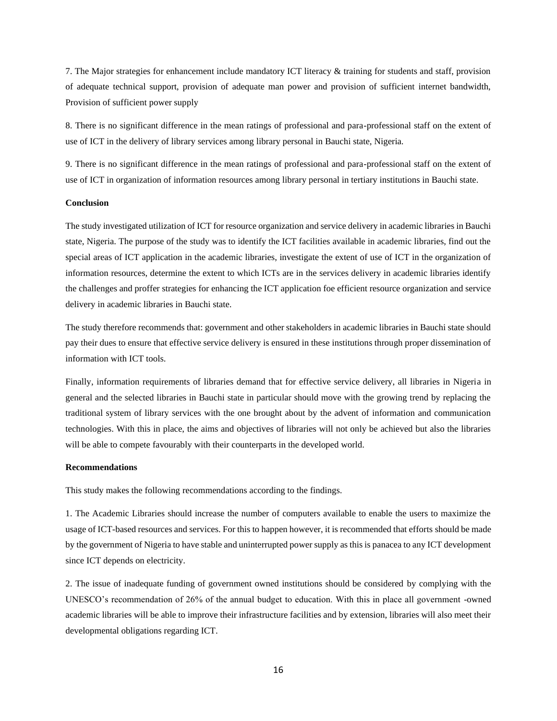7. The Major strategies for enhancement include mandatory ICT literacy & training for students and staff, provision of adequate technical support, provision of adequate man power and provision of sufficient internet bandwidth, Provision of sufficient power supply

8. There is no significant difference in the mean ratings of professional and para-professional staff on the extent of use of ICT in the delivery of library services among library personal in Bauchi state, Nigeria.

9. There is no significant difference in the mean ratings of professional and para-professional staff on the extent of use of ICT in organization of information resources among library personal in tertiary institutions in Bauchi state.

#### **Conclusion**

The study investigated utilization of ICT for resource organization and service delivery in academic libraries in Bauchi state, Nigeria. The purpose of the study was to identify the ICT facilities available in academic libraries, find out the special areas of ICT application in the academic libraries, investigate the extent of use of ICT in the organization of information resources, determine the extent to which ICTs are in the services delivery in academic libraries identify the challenges and proffer strategies for enhancing the ICT application foe efficient resource organization and service delivery in academic libraries in Bauchi state.

The study therefore recommends that: government and other stakeholders in academic libraries in Bauchi state should pay their dues to ensure that effective service delivery is ensured in these institutions through proper dissemination of information with ICT tools.

Finally, information requirements of libraries demand that for effective service delivery, all libraries in Nigeria in general and the selected libraries in Bauchi state in particular should move with the growing trend by replacing the traditional system of library services with the one brought about by the advent of information and communication technologies. With this in place, the aims and objectives of libraries will not only be achieved but also the libraries will be able to compete favourably with their counterparts in the developed world.

#### **Recommendations**

This study makes the following recommendations according to the findings.

1. The Academic Libraries should increase the number of computers available to enable the users to maximize the usage of ICT-based resources and services. For this to happen however, it is recommended that efforts should be made by the government of Nigeria to have stable and uninterrupted power supply as this is panacea to any ICT development since ICT depends on electricity.

2. The issue of inadequate funding of government owned institutions should be considered by complying with the UNESCO's recommendation of 26% of the annual budget to education. With this in place all government -owned academic libraries will be able to improve their infrastructure facilities and by extension, libraries will also meet their developmental obligations regarding ICT.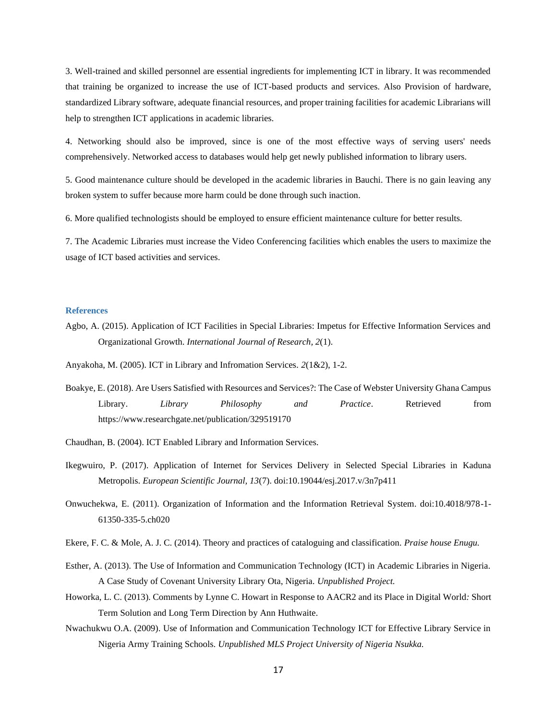3. Well-trained and skilled personnel are essential ingredients for implementing ICT in library. It was recommended that training be organized to increase the use of ICT-based products and services. Also Provision of hardware, standardized Library software, adequate financial resources, and proper training facilities for academic Librarians will help to strengthen ICT applications in academic libraries.

4. Networking should also be improved, since is one of the most effective ways of serving users' needs comprehensively. Networked access to databases would help get newly published information to library users.

5. Good maintenance culture should be developed in the academic libraries in Bauchi. There is no gain leaving any broken system to suffer because more harm could be done through such inaction.

6. More qualified technologists should be employed to ensure efficient maintenance culture for better results.

7. The Academic Libraries must increase the Video Conferencing facilities which enables the users to maximize the usage of ICT based activities and services.

#### **References**

Agbo, A. (2015). Application of ICT Facilities in Special Libraries: Impetus for Effective Information Services and Organizational Growth. *International Journal of Research, 2*(1).

Anyakoha, M. (2005). ICT in Library and Infromation Services. *2*(1&2), 1-2.

- Boakye, E. (2018). Are Users Satisfied with Resources and Services?: The Case of Webster University Ghana Campus Library. *Library Philosophy and Practice*. Retrieved from https://www.researchgate.net/publication/329519170
- Chaudhan, B. (2004). ICT Enabled Library and Information Services.
- Ikegwuiro, P. (2017). Application of Internet for Services Delivery in Selected Special Libraries in Kaduna Metropolis. *European Scientific Journal, 13*(7). doi:10.19044/esj.2017.v/3n7p411
- Onwuchekwa, E. (2011). Organization of Information and the Information Retrieval System. doi:10.4018/978-1- 61350-335-5.ch020
- Ekere, F. C. & Mole, A. J. C. (2014). Theory and practices of cataloguing and classification*. Praise house Enugu.*
- Esther, A. (2013). The Use of Information and Communication Technology (ICT) in Academic Libraries in Nigeria. A Case Study of Covenant University Library Ota, Nigeria. *Unpublished Project.*
- Howorka, L. C. (2013). Comments by Lynne C. Howart in Response to AACR2 and its Place in Digital World*:* Short Term Solution and Long Term Direction by Ann Huthwaite.
- Nwachukwu O.A. (2009). Use of Information and Communication Technology ICT for Effective Library Service in Nigeria Army Training Schools. *Unpublished MLS Project University of Nigeria Nsukka.*